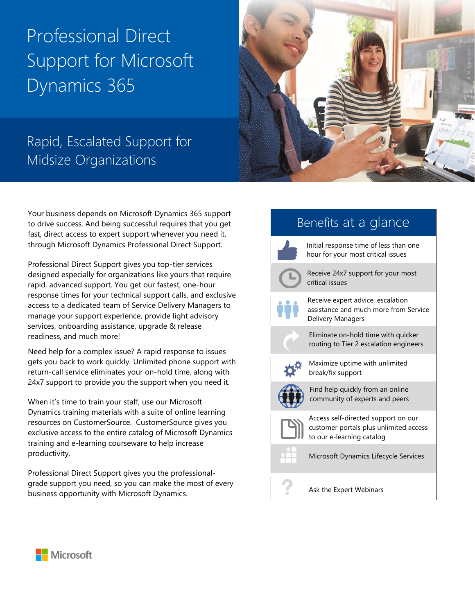# Professional Direct Support for Microsoft Dynamics 365



## Rapid, Escalated Support for Midsize Organizations

Your business depends on Microsoft Dynamics 365 support to drive success. And being successful requires that you get fast, direct access to expert support whenever you need it, through Microsoft Dynamics Professional Direct Support.

Professional Direct Support gives you top-tier services designed especially for organizations like yours that require rapid, advanced support. You get our fastest, one-hour response times for your technical support calls, and exclusive access to a dedicated team of Service Delivery Managers to manage your support experience, provide light advisory services, onboarding assistance, upgrade & release readiness, and much more!

Need help for a complex issue? A rapid response to issues gets you back to work quickly. Unlimited phone support with return-call service eliminates your on-hold time, along with 24x7 support to provide you the support when you need it.

When it's time to train your staff, use our Microsoft Dynamics training materials with a suite of online learning resources on CustomerSource. CustomerSource gives you exclusive access to the entire catalog of Microsoft Dynamics training and e-learning courseware to help increase productivity.

Professional Direct Support gives you the professionalgrade support you need, so you can make the most of every business opportunity with Microsoft Dynamics.

### Benefits at a glance